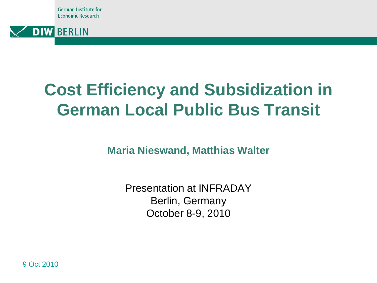German Institute for **Economic Research** 



# **Cost Efficiency and Subsidization in German Local Public Bus Transit**

**Maria Nieswand, Matthias Walter**

Presentation at INFRADAY Berlin, Germany October 8-9, 2010

9 Oct 2010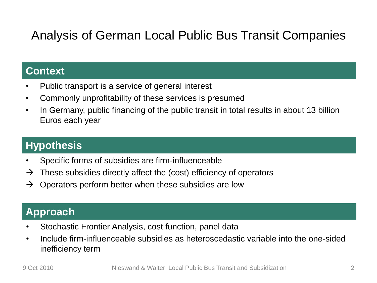## Analysis of German Local Public Bus Transit Companies

#### **Context**

- Public transport is a service of general interest
- Commonly unprofitability of these services is presumed
- In Germany, public financing of the public transit in total results in about 13 billion Euros each year

#### **Hypothesis**

- Specific forms of subsidies are firm-influenceable
- $\rightarrow$  These subsidies directly affect the (cost) efficiency of operators
- $\rightarrow$  Operators perform better when these subsidies are low

#### **Approach**

- Stochastic Frontier Analysis, cost function, panel data
- Include firm-influenceable subsidies as heteroscedastic variable into the one-sided inefficiency term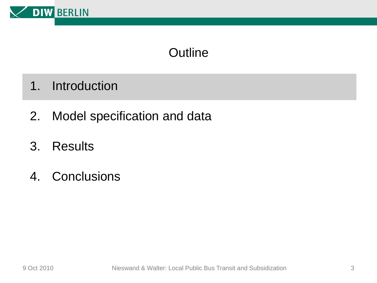

- 1. Introduction
- 2. Model specification and data
- 3. Results
- 4. Conclusions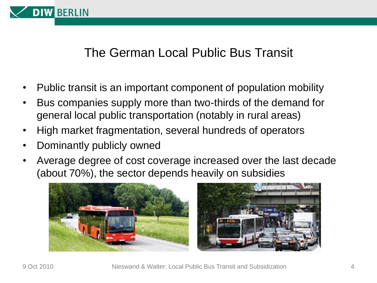

#### The German Local Public Bus Transit

- Public transit is an important component of population mobility
- Bus companies supply more than two-thirds of the demand for general local public transportation (notably in rural areas)
- High market fragmentation, several hundreds of operators
- Dominantly publicly owned
- Average degree of cost coverage increased over the last decade (about 70%), the sector depends heavily on subsidies

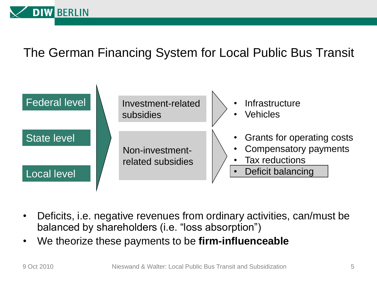

### The German Financing System for Local Public Bus Transit



- Deficits, i.e. negative revenues from ordinary activities, can/must be balanced by shareholders (i.e. "loss absorption")
- We theorize these payments to be **firm-influenceable**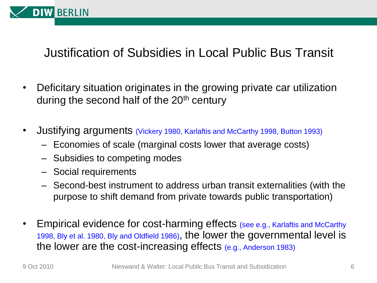

### Justification of Subsidies in Local Public Bus Transit

- Deficitary situation originates in the growing private car utilization during the second half of the  $20<sup>th</sup>$  century
- Justifying arguments (Vickery 1980, Karlaftis and McCarthy 1998, Button 1993)
	- Economies of scale (marginal costs lower that average costs)
	- Subsidies to competing modes
	- Social requirements
	- Second-best instrument to address urban transit externalities (with the purpose to shift demand from private towards public transportation)
- Empirical evidence for cost-harming effects (see e.g., Karlaftis and McCarthy 1998, Bly et al. 1980, Bly and Oldfield 1986), the lower the governmental level is the lower are the cost-increasing effects (e.g., Anderson 1983)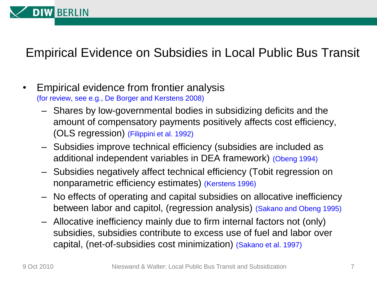

## Empirical Evidence on Subsidies in Local Public Bus Transit

- Empirical evidence from frontier analysis (for review, see e.g., De Borger and Kerstens 2008)
	- Shares by low-governmental bodies in subsidizing deficits and the amount of compensatory payments positively affects cost efficiency, (OLS regression) (Filippini et al. 1992)
	- Subsidies improve technical efficiency (subsidies are included as additional independent variables in DEA framework) (Obeng 1994)
	- Subsidies negatively affect technical efficiency (Tobit regression on nonparametric efficiency estimates) (Kerstens 1996)
	- No effects of operating and capital subsidies on allocative inefficiency between labor and capitol, (regression analysis) (Sakano and Obeng 1995)
	- Allocative inefficiency mainly due to firm internal factors not (only) subsidies, subsidies contribute to excess use of fuel and labor over capital, (net-of-subsidies cost minimization) (Sakano et al. 1997)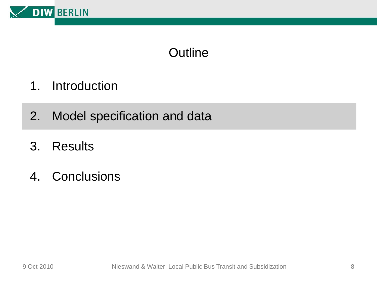

- 1. Introduction
- 2. Model specification and data
- 3. Results
- 4. Conclusions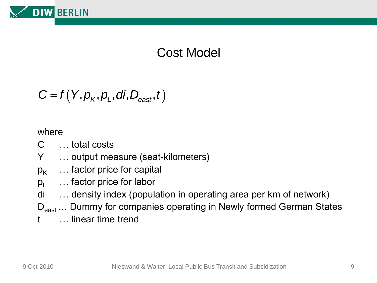

### Cost Model

$$
C = f(Y, p_K, p_L, di, D_{\text{east}}, t)
$$

where

- C … total costs
- Y … output measure (seat-kilometers)
- $p_{K}$  ... factor price for capital
- $p_1$   $\ldots$  factor price for labor
- di … density index (population in operating area per km of network)
- D<sub>east</sub> ... Dummy for companies operating in Newly formed German States
- t … linear time trend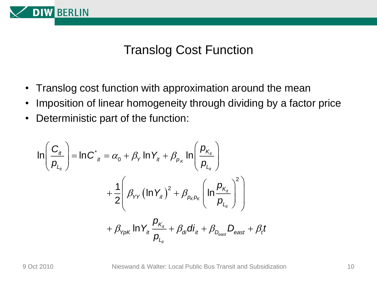

#### Translog Cost Function

- Translog cost function with approximation around the mean
- Imposition of linear homogeneity through dividing by a factor price
- Deterministic part of the function:

Deterministic part of the function:  
\n
$$
\ln\left(\frac{C_{it}}{P_{L_{it}}}\right) = \ln C_{it}^{*} = \alpha_{0} + \beta_{Y} \ln Y_{it} + \beta_{p_{K}} \ln\left(\frac{P_{K_{it}}}{P_{L_{it}}}\right)
$$
\n
$$
+ \frac{1}{2} \left(\beta_{YY} \left(\ln Y_{it}\right)^{2} + \beta_{p_{K}p_{K}} \left(\ln \frac{P_{K_{it}}}{P_{L_{it}}}\right)^{2}\right)
$$
\n
$$
+ \beta_{YpK} \ln Y_{it} \frac{P_{K_{it}}}{P_{L_{it}}} + \beta_{di} di_{it} + \beta_{D_{\text{east}}} D_{\text{east}} + \beta_{t} t
$$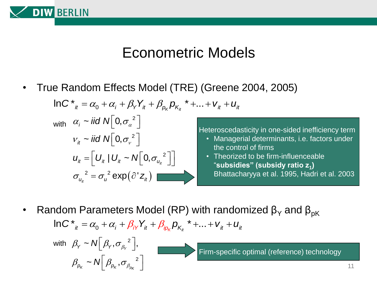

## Econometric Models

• True Random Effects Model (TRE) (Greene 2004, 2005)<br>  $ln C_{i}^{*} = \alpha_0 + \alpha_i + \beta_{i} Y_{it} + \beta_{p_K} p_{K_{it}}^{*} + ... + V_{it} + U_{it}$ e Random Effects Model (TRE) (Greene<br>InC<sup>\*</sup><sub>it</sub> =  $\alpha_0 + \alpha_i + \beta_{\gamma} Y_{it} + \beta_{\rho_K} p_{K_{it}}^* + ... + v_{it} + u_{it}$ 



with  $\beta_{\gamma} \sim N \left[ \beta_{\gamma}, {\sigma_{\beta_{\gamma}}}^2 \right],$ 

 $\beta_{p_{\kappa}} \thicksim N\left[\beta_{p_{\kappa}}, \sigma_{\beta_{p_{\kappa}}}^2\right]$ 

Heteroscedasticity in one-sided inefficiency term

- Managerial determinants, i.e. factors under the control of firms
- Theorized to be firm-influenceable "**subsidies" (subsidy ratio z<sup>1</sup> )** Bhattacharyya et al. 1995, Hadri et al. 2003
- Random Parameters Model (RP) with randomized  $β<sub>Y</sub>$  and  $β<sub>pK</sub>$  $\mu$  Parameters Model (RP) with randomize<br>  $\ln C^*_{i_t} = \alpha_0 + \alpha_i + \beta_{iY} Y_{it} + \beta_{ip_K} p_{K_{it}}^* + ... + v_{it} + u_{it}$ **<sup>\*</sup><sub>it</sub> =**  $\alpha_0 + \alpha_i + \beta_i \gamma Y_{it} + \beta_{i\alpha_k} p_{K_i}$ **<sup>\*</sup> +... +**  $V_{it} + U_{it}$

Firm-specific optimal (reference) technology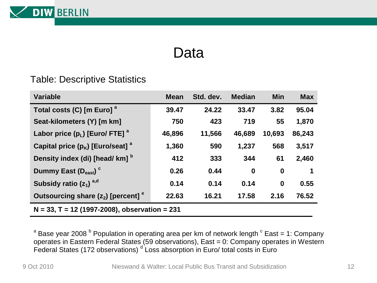![](_page_11_Picture_0.jpeg)

## Data

#### Table: Descriptive Statistics

| <b>Variable</b>                                  | <b>Mean</b> | Std. dev. | <b>Median</b> | <b>Min</b>       | <b>Max</b> |  |
|--------------------------------------------------|-------------|-----------|---------------|------------------|------------|--|
| Total costs (C) [m Euro] <sup>a</sup>            | 39.47       | 24.22     | 33.47         | 3.82             | 95.04      |  |
| Seat-kilometers (Y) [m km]                       | 750         | 423       | 719           | 55               | 1,870      |  |
| Labor price $(p_L)$ [Euro/ FTE] $^a$             | 46,896      | 11,566    | 46,689        | 10,693           | 86,243     |  |
| Capital price $(p_K)$ [Euro/seat] $^a$           | 1,360       | 590       | 1,237         | 568              | 3,517      |  |
| Density index (di) [head/km] b                   | 412         | 333       | 344           | 61               | 2,460      |  |
| Dummy East $(D_{\text{east}})^c$                 | 0.26        | 0.44      | $\bf{0}$      | $\boldsymbol{0}$ | 1          |  |
| Subsidy ratio $(z_1)^{a,d}$                      | 0.14        | 0.14      | 0.14          | $\bf{0}$         | 0.55       |  |
| Outsourcing share $(z_2)$ [percent] $e^$         | 22.63       | 16.21     | 17.58         | 2.16             | 76.52      |  |
| $N = 33$ , T = 12 (1997-2008), observation = 231 |             |           |               |                  |            |  |

 $^{\text{a}}$  Base year 2008  $^{\text{b}}$  Population in operating area per km of network length  $^{\text{c}}$  East = 1: Company operates in Eastern Federal States (59 observations), East = 0: Company operates in Western Federal States (172 observations)  $d$  Loss absorption in Euro/ total costs in Euro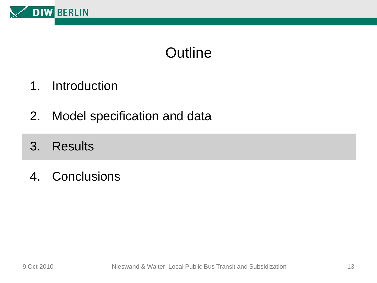![](_page_12_Picture_0.jpeg)

- 1. Introduction
- 2. Model specification and data
- 3. Results
- 4. Conclusions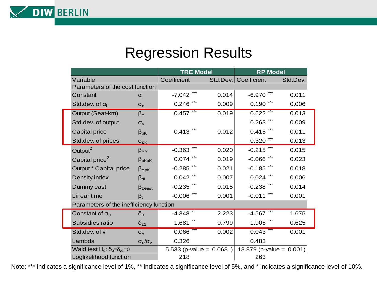![](_page_13_Picture_0.jpeg)

**DIW BERLIN** 

|                                                         |                                 | <b>TRE Model</b>         |          | <b>RP Model</b>             |          |  |  |  |
|---------------------------------------------------------|---------------------------------|--------------------------|----------|-----------------------------|----------|--|--|--|
| Variable                                                |                                 | Coefficient              | Std.Dev. | Coefficient                 | Std.Dev. |  |  |  |
| Parameters of the cost function                         |                                 |                          |          |                             |          |  |  |  |
| Constant                                                | $\alpha_i$                      | $-7.042$                 | 0.014    | $-6.970$                    | 0.011    |  |  |  |
| Std.dev. of $\alpha_i$                                  | $\sigma_{\alpha}$               | 0.246                    | 0.009    | 0.190                       | 0.006    |  |  |  |
| Output (Seat-km)                                        | $\beta_Y$                       | 0.457                    | 0.019    | 0.622                       | 0.013    |  |  |  |
| Std.dev. of output                                      | $\sigma_{y}$                    |                          |          | 0.263                       | 0.009    |  |  |  |
| Capital price                                           | $\beta_{pK}$                    | 0.413                    | 0.012    | 0.415                       | 0.011    |  |  |  |
| Std.dev. of prices                                      | $\sigma_{pK}$                   |                          |          | 0.320                       | 0.013    |  |  |  |
| Output $^2$                                             | $\beta_{YY}$                    | $-0.363$                 | 0.020    | $-0.215$                    | 0.015    |  |  |  |
| Capital price $2$                                       | $\beta_{\text{pKpK}}$           | 0.074                    | 0.019    | $-0.066$                    | 0.023    |  |  |  |
| Output * Capital price                                  | $\beta$ <sub>YpK</sub>          | $-0.285$                 | 0.021    | $-0.185$                    | 0.018    |  |  |  |
| Density index                                           | $\beta_{di}$                    | 0.042                    | 0.007    | 0.024                       | 0.006    |  |  |  |
| Dummy east                                              | $\beta_{\text{Deast}}$          | $-0.235$                 | 0.015    | $-0.238$                    | 0.014    |  |  |  |
| Linear time                                             | $\beta_t$                       | $-0.006$                 | 0.001    | $-0.011$                    | 0.001    |  |  |  |
| Parameters of the inefficiency function                 |                                 |                          |          |                             |          |  |  |  |
| Constant of $\sigma_u$                                  | $\delta_0$                      | $-4.348$ $\degree$       | 2.223    | $-4.567$                    | 1.675    |  |  |  |
| Subsidies ratio                                         | $\delta_{z1}$                   | 1.681                    | 0.799    | 1.906                       | 0.625    |  |  |  |
| Std.dev. of v                                           | $\sigma_{v}$                    | 0.066                    | 0.002    | 0.043                       | 0.001    |  |  |  |
| Lambda                                                  | $\sigma_{\rm u}/\sigma_{\rm v}$ | 0.326                    |          | 0.483                       |          |  |  |  |
| Wald test H <sub>0</sub> : $\delta_0 = \delta_{z1} = 0$ |                                 | 5.533 (p-value = $0.063$ |          | 13.879 (p-value = $0.001$ ) |          |  |  |  |
| Loglikelihood function                                  |                                 | 218                      |          | 263                         |          |  |  |  |

Note: \*\*\* indicates a significance level of 1%, \*\* indicates a significance level of 5%, and \* indicates a significance level of 10%.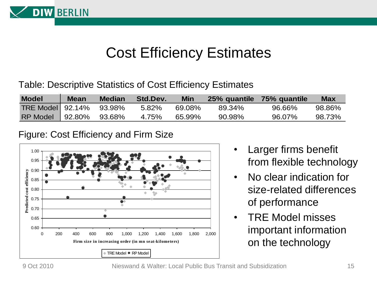![](_page_14_Picture_0.jpeg)

## Cost Efficiency Estimates

Table: Descriptive Statistics of Cost Efficiency Estimates

| <b>Model</b>            | <b>Mean</b> | <b>Median</b> | Std.Dev. | Min    |        | 25% quantile 75% quantile | <b>Max</b> |
|-------------------------|-------------|---------------|----------|--------|--------|---------------------------|------------|
| TRE Model 92.14% 93.98% |             |               | 5.82%    | 69.08% | 89.34% | 96.66%                    | 98.86%     |
| RP Model 92.80% 93.68%  |             |               | 4.75%    | 65.99% | 90.98% | 96.07%                    | 98.73%     |

#### Figure: Cost Efficiency and Firm Size

![](_page_14_Figure_5.jpeg)

- Larger firms benefit from flexible technology
- No clear indication for size-related differences of performance
- TRE Model misses important information on the technology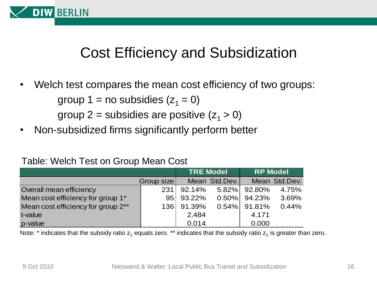![](_page_15_Picture_0.jpeg)

## Cost Efficiency and Subsidization

• Welch test compares the mean cost efficiency of two groups:

group 1 = no subsidies  $(z_1 = 0)$ 

group 2 = subsidies are positive  $(z_1 > 0)$ 

• Non-subsidized firms significantly perform better

#### Table: Welch Test on Group Mean Cost

|                                    |                 | <b>TRE Model</b> |               | <b>RP Model</b> |               |
|------------------------------------|-----------------|------------------|---------------|-----------------|---------------|
|                                    | Group size      |                  | Mean Std.Dev. |                 | Mean Std.Dev. |
| Overall mean efficiency            | 231             | 92.14%           |               | 5.82% 92.80%    | 4.75%         |
| Mean cost efficiency for group 1*  | 95 <sub>1</sub> | 93.22%           |               | $0.50\%$ 94.23% | 3.69%         |
| Mean cost efficiency for group 2** | 1361            | 91.39%           |               | $0.54\%$ 91.81% | 0.44%         |
| t-value                            |                 | 2.484            |               | 4.171           |               |
| p-value                            |                 | 0.014            |               | 0.000           |               |

Note:  $^*$  indicates that the subsidy ratio  $\mathsf{z}_1$  equals zero.  $^{**}$  indicates that the subsidy ratio  $\mathsf{z}_1$  is greater than zero.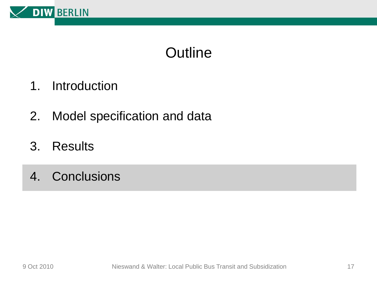![](_page_16_Picture_0.jpeg)

- 1. Introduction
- 2. Model specification and data
- 3. Results
- 4. Conclusions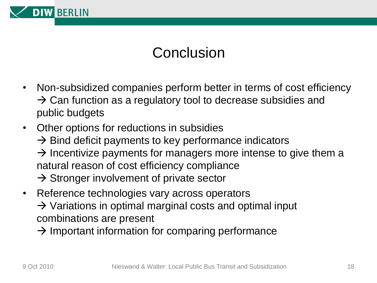![](_page_17_Picture_0.jpeg)

## Conclusion

- Non-subsidized companies perform better in terms of cost efficiency  $\rightarrow$  Can function as a regulatory tool to decrease subsidies and public budgets
- Other options for reductions in subsidies  $\rightarrow$  Bind deficit payments to key performance indicators  $\rightarrow$  Incentivize payments for managers more intense to give them a natural reason of cost efficiency compliance  $\rightarrow$  Stronger involvement of private sector
- Reference technologies vary across operators  $\rightarrow$  Variations in optimal marginal costs and optimal input combinations are present
	- $\rightarrow$  Important information for comparing performance